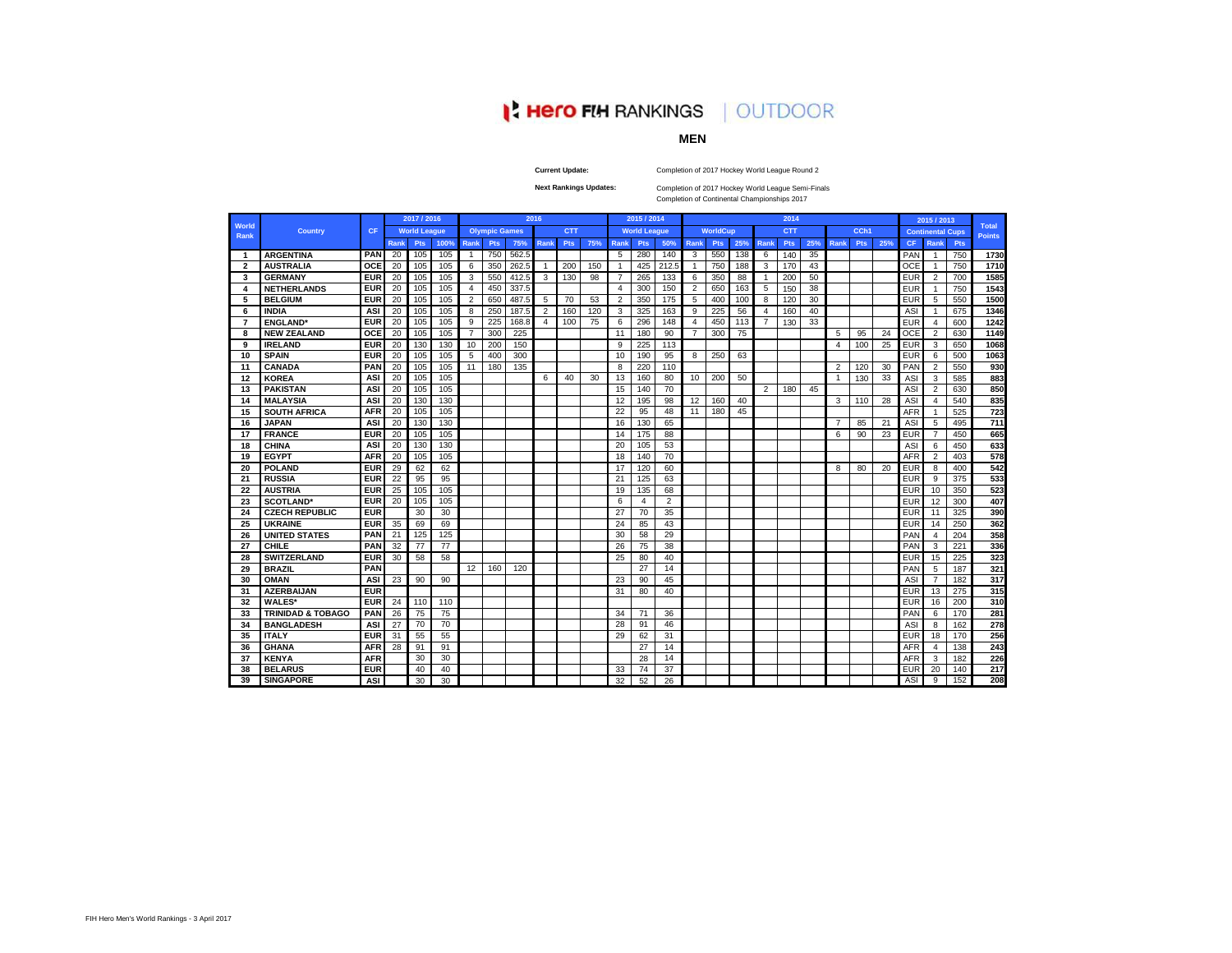# **I' Hero FIH RANKINGS | OUTDOOR**

# **MEN**

**Current Update:**

Completion of 2017 Hockey World League Round 2

**Next Rankings Updates:** 

Completion of 2017 Hockey World League Semi-Finals

Completion of Continental Championships 2017

| World          |                              |            |             | 2017 / 2016<br><b>World League</b> |      |                |                      |       | 2016           |            |     |      | 2015 / 2014         |                |                 |                 |     |      | 2014       |     |                |            |     |            | 2015 / 2013             |     | <b>Total</b>  |
|----------------|------------------------------|------------|-------------|------------------------------------|------|----------------|----------------------|-------|----------------|------------|-----|------|---------------------|----------------|-----------------|-----------------|-----|------|------------|-----|----------------|------------|-----|------------|-------------------------|-----|---------------|
| Rank           | <b>Country</b>               | CF         |             |                                    |      |                | <b>Olympic Games</b> |       |                | <b>CTT</b> |     |      | <b>World League</b> |                |                 | <b>WorldCup</b> |     |      | <b>CTT</b> |     |                | CCh1       |     |            | <b>Continental Cups</b> |     | <b>Points</b> |
|                |                              |            | <b>Rank</b> | Pts                                | 100% | Rank           | <b>Pts</b>           | 75%   | Rank           | <b>Pts</b> | 75% | Rank | Pts                 | 50%            | <b>Rank</b>     | Pts             | 25% | Rank | Pts        | 25% | Rank           | <b>Pts</b> | 25% | <b>CF</b>  | Rank                    | Pts |               |
| -1             | <b>ARGENTINA</b>             | PAN        | 20          | 105                                | 105  | $\overline{1}$ | 750                  | 562.5 |                |            |     | 5    | 280                 | 140            | $\overline{3}$  | 550             | 138 | -6   | 140        | 35  |                |            |     | PAN        | -1                      | 750 | 1730          |
| $\overline{2}$ | <b>AUSTRALIA</b>             | OCE        | 20          | 105                                | 105  | 6              | 350                  | 262.5 | $\overline{1}$ | 200        | 150 |      | 425                 | 212.5          | -1              | 750             | 188 | 3    | 170        | 43  |                |            |     | OCE        |                         | 750 | 1710          |
| 3              | <b>GERMANY</b>               | <b>EUR</b> | 20          | 105                                | 105  | 3              | 550                  | 412.5 | 3              | 130        | 98  | 7    | 265                 | 133            | 6               | 350             | 88  | -1   | 200        | 50  |                |            |     | EUR        | $\overline{2}$          | 700 | 1585          |
| 4              | <b>NETHERLANDS</b>           | <b>EUR</b> | 20          | 105                                | 105  | $\overline{4}$ | 450                  | 337.5 |                |            |     | 4    | 300                 | 150            | 2               | 650             | 163 | 5    | 150        | 38  |                |            |     | EUR        |                         | 750 | 1543          |
| 5              | <b>BELGIUM</b>               | <b>EUR</b> | 20          | 105                                | 105  | $\overline{2}$ | 650                  | 487.5 | 5              | 70         | 53  | 2    | 350                 | 175            | 5               | 400             | 100 | 8    | 120        | 30  |                |            |     | <b>EUR</b> | 5                       | 550 | 1500          |
| 6              | <b>INDIA</b>                 | ASI        | 20          | 105                                | 105  | 8              | 250                  | 187.5 | $\overline{2}$ | 160        | 120 | 3    | 325                 | 163            | 9               | 225             | 56  | 4    | 160        | 40  |                |            |     | ASI        |                         | 675 | 1346          |
| $\overline{7}$ | <b>ENGLAND</b> *             | <b>EUR</b> | 20          | 105                                | 105  | 9              | 225                  | 168.8 | $\overline{4}$ | 100        | 75  | 6    | 296                 | 148            | 4               | 450             | 113 | 7    | 130        | 33  |                |            |     | <b>EUR</b> | $\overline{4}$          | 600 | 1242          |
| 8              | <b>NEW ZEALAND</b>           | <b>OCE</b> | 20          | 105                                | 105  | $\overline{7}$ | 300                  | 225   |                |            |     | 11   | 180                 | 90             | $\overline{7}$  | 300             | 75  |      |            |     | 5              | 95         | 24  | <b>OCE</b> | $\overline{2}$          | 630 | 1149          |
| 9              | <b>IRELAND</b>               | <b>EUR</b> | 20          | 130                                | 130  | 10             | 200                  | 150   |                |            |     | q    | 225                 | 113            |                 |                 |     |      |            |     | 4              | 100        | 25  | <b>EUR</b> | 3                       | 650 | 1068          |
| 10             | <b>SPAIN</b>                 | <b>EUR</b> | 20          | 105                                | 105  | 5              | 400                  | 300   |                |            |     | 10   | 190                 | 95             | 8               | 250             | 63  |      |            |     |                |            |     | <b>EUR</b> | 6                       | 500 | 1063          |
| 11             | <b>CANADA</b>                | PAN        | 20          | 105                                | 105  | 11             | 180                  | 135   |                |            |     | 8    | 220                 | 110            |                 |                 |     |      |            |     | $\overline{2}$ | 120        | 30  | PAN        | $\overline{2}$          | 550 | 930           |
| 12             | <b>KOREA</b>                 | ASI        | 20          | 105                                | 105  |                |                      |       | 6              | 40         | 30  | 13   | 160                 | 80             | 10              | 200             | 50  |      |            |     | $\overline{1}$ | 130        | 33  | ASI        | 3                       | 585 | 883           |
| 13             | <b>PAKISTAN</b>              | <b>ASI</b> | 20          | 105                                | 105  |                |                      |       |                |            |     | 15   | 140                 | 70             |                 |                 |     | 2    | 180        | 45  |                |            |     | <b>ASI</b> | $\overline{2}$          | 630 | 850           |
| 14             | <b>MALAYSIA</b>              | ASI        | 20          | 130                                | 130  |                |                      |       |                |            |     | 12   | 195                 | 98             | 12 <sup>°</sup> | 160             | 40  |      |            |     | 3              | 110        | 28  | <b>ASI</b> | 4                       | 540 | 835           |
| 15             | <b>SOUTH AFRICA</b>          | <b>AFR</b> | 20          | 105                                | 105  |                |                      |       |                |            |     | 22   | 95                  | 48             | 11              | 180             | 45  |      |            |     |                |            |     | <b>AFR</b> | 1                       | 525 | 723           |
| 16             | <b>JAPAN</b>                 | <b>ASI</b> | 20          | 130                                | 130  |                |                      |       |                |            |     | 16   | 130                 | 65             |                 |                 |     |      |            |     |                | 85         | 21  | <b>ASI</b> | 5                       | 495 | 711           |
| 17             | <b>FRANCE</b>                | <b>EUR</b> | 20          | 105                                | 105  |                |                      |       |                |            |     | 14   | 175                 | 88             |                 |                 |     |      |            |     | 6              | 90         | 23  | <b>EUR</b> | $\overline{7}$          | 450 | 665           |
| 18             | <b>CHINA</b>                 | <b>ASI</b> | 20          | 130                                | 130  |                |                      |       |                |            |     | 20   | 105                 | 53             |                 |                 |     |      |            |     |                |            |     | ASI        | 6                       | 450 | 633           |
| 19             | <b>EGYPT</b>                 | <b>AFR</b> | 20          | 105                                | 105  |                |                      |       |                |            |     | 18   | 140                 | 70             |                 |                 |     |      |            |     |                |            |     | <b>AFR</b> | $\overline{2}$          | 403 | 578           |
| 20             | <b>POLAND</b>                | <b>EUR</b> | 29          | 62                                 | 62   |                |                      |       |                |            |     | 17   | 120                 | 60             |                 |                 |     |      |            |     | 8              | 80         | 20  | <b>EUR</b> | 8                       | 400 | 542           |
| 21             | <b>RUSSIA</b>                | <b>EUR</b> | 22          | 95                                 | 95   |                |                      |       |                |            |     | 21   | 125                 | 63             |                 |                 |     |      |            |     |                |            |     | <b>EUR</b> | 9                       | 375 | 533           |
| 22             | <b>AUSTRIA</b>               | <b>EUR</b> | 25          | 105                                | 105  |                |                      |       |                |            |     | 19   | 135                 | 68             |                 |                 |     |      |            |     |                |            |     | <b>EUR</b> | 10                      | 350 | 523           |
| 23             | <b>SCOTLAND*</b>             | <b>EUR</b> | 20          | 105                                | 105  |                |                      |       |                |            |     | 6    | 4                   | $\overline{2}$ |                 |                 |     |      |            |     |                |            |     | <b>EUR</b> | 12                      | 300 | 407           |
| 24             | <b>CZECH REPUBLIC</b>        | <b>EUR</b> |             | 30                                 | 30   |                |                      |       |                |            |     | 27   | 70                  | 35             |                 |                 |     |      |            |     |                |            |     | <b>EUR</b> | 11                      | 325 | 390           |
| 25             | <b>UKRAINE</b>               | <b>EUR</b> | 35          | 69                                 | 69   |                |                      |       |                |            |     | 24   | 85                  | 43             |                 |                 |     |      |            |     |                |            |     | <b>EUR</b> | 14                      | 250 | 362           |
| 26             | <b>UNITED STATES</b>         | PAN        | 21          | 125                                | 125  |                |                      |       |                |            |     | 30   | 58                  | 29             |                 |                 |     |      |            |     |                |            |     | PAN        | $\overline{4}$          | 204 | 358           |
| 27             | <b>CHILE</b>                 | PAN        | 32          | 77                                 | 77   |                |                      |       |                |            |     | 26   | 75                  | 38             |                 |                 |     |      |            |     |                |            |     | PAN        | 3                       | 221 | 336           |
| 28             | <b>SWITZERLAND</b>           | <b>EUR</b> | 30          | 58                                 | 58   |                |                      |       |                |            |     | 25   | 80                  | 40             |                 |                 |     |      |            |     |                |            |     | EUR        | 15                      | 225 | 323           |
| 29             | <b>BRAZIL</b>                | PAN        |             |                                    |      | 12             | 160                  | 120   |                |            |     |      | 27                  | 14             |                 |                 |     |      |            |     |                |            |     | PAN        | 5                       | 187 | 321           |
| 30             | <b>OMAN</b>                  | ASI        | 23          | 90                                 | 90   |                |                      |       |                |            |     | 23   | 90                  | 45             |                 |                 |     |      |            |     |                |            |     | ASI        | $\overline{7}$          | 182 | 317           |
| 31             | <b>AZERBAIJAN</b>            | <b>EUR</b> |             |                                    |      |                |                      |       |                |            |     | 31   | 80                  | 40             |                 |                 |     |      |            |     |                |            |     | <b>EUR</b> | 13                      | 275 | 315           |
| 32             | <b>WALES*</b>                | <b>EUR</b> | 24          | 110                                | 110  |                |                      |       |                |            |     |      |                     |                |                 |                 |     |      |            |     |                |            |     | <b>EUR</b> | 16                      | 200 | 310           |
| 33             | <b>TRINIDAD &amp; TOBAGO</b> | PAN        | 26          | 75                                 | 75   |                |                      |       |                |            |     | 34   | 71                  | 36             |                 |                 |     |      |            |     |                |            |     | PAN        | 6                       | 170 | 281           |
| 34             | <b>BANGLADESH</b>            | ASI        | 27          | 70                                 | 70   |                |                      |       |                |            |     | 28   | 91                  | 46             |                 |                 |     |      |            |     |                |            |     | ASI        | 8                       | 162 | 278           |
| 35             | <b>ITALY</b>                 | <b>EUR</b> | 31          | 55                                 | 55   |                |                      |       |                |            |     | 29   | 62                  | 31             |                 |                 |     |      |            |     |                |            |     | <b>EUR</b> | 18                      | 170 | 256           |
| 36             | <b>GHANA</b>                 | <b>AFR</b> | 28          | 91                                 | 91   |                |                      |       |                |            |     |      | 27                  | 14             |                 |                 |     |      |            |     |                |            |     | <b>AFR</b> | $\overline{a}$          | 138 | 243           |
| 37             | <b>KENYA</b>                 | <b>AFR</b> |             | 30                                 | 30   |                |                      |       |                |            |     |      | 28                  | 14             |                 |                 |     |      |            |     |                |            |     | <b>AFR</b> | 3                       | 182 | 226           |
| 38             | <b>BELARUS</b>               | <b>EUR</b> |             | 40                                 | 40   |                |                      |       |                |            |     | 33   | 74                  | 37             |                 |                 |     |      |            |     |                |            |     | EUR        | 20                      | 140 | 217           |
| 39             | <b>SINGAPORE</b>             | ASI        |             | 30                                 | 30   |                |                      |       |                |            |     | 32   | 52                  | 26             |                 |                 |     |      |            |     |                |            |     | ASI        | 9                       | 152 | 208           |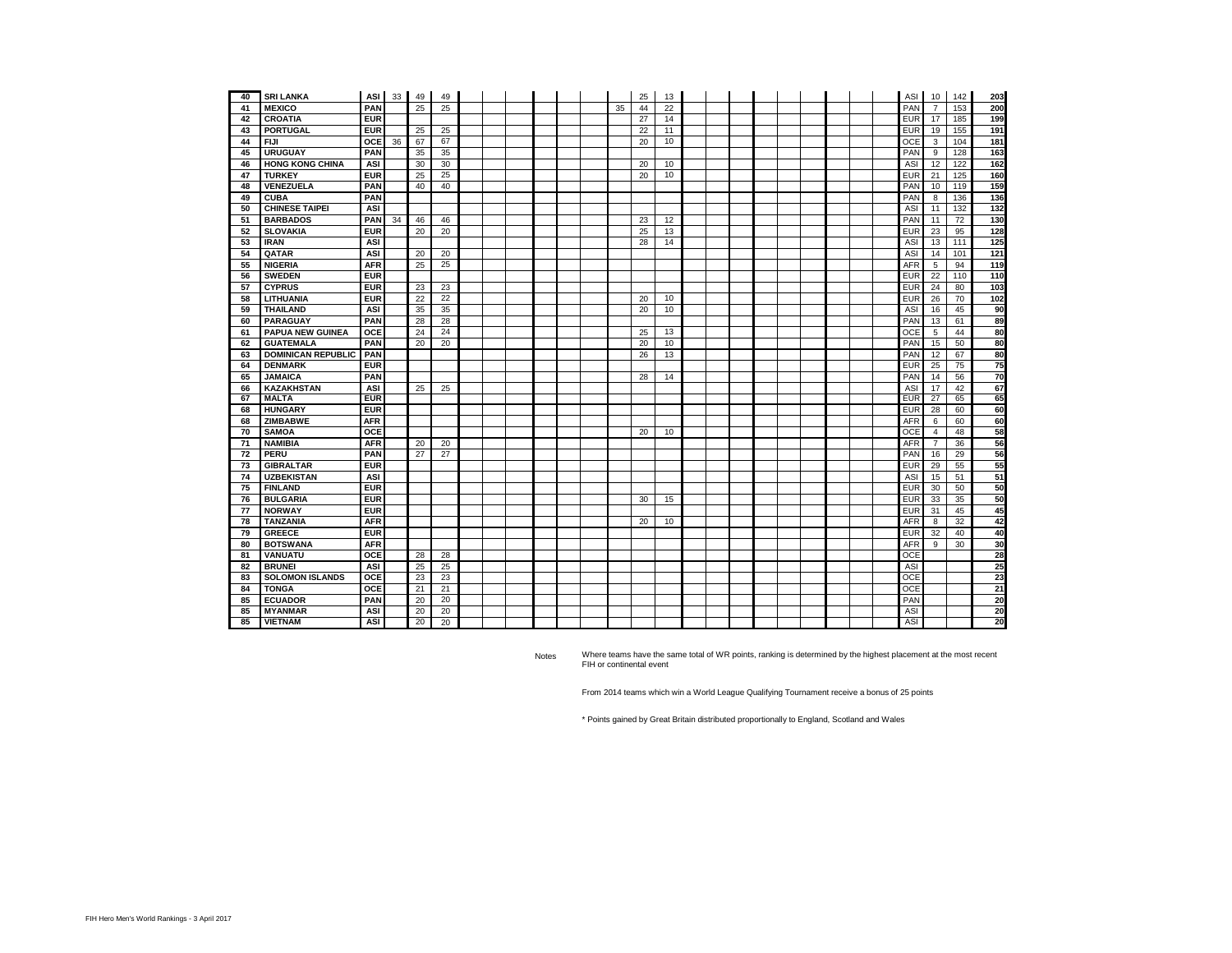| 40 | <b>SRI LANKA</b>          | ASI I      | 33 | 49 | 49 |  |  |  |    | 25 | 13 |  |  |  |  | ASI        | 10             | 142 | 203 |
|----|---------------------------|------------|----|----|----|--|--|--|----|----|----|--|--|--|--|------------|----------------|-----|-----|
| 41 | <b>MEXICO</b>             | PAN        |    | 25 | 25 |  |  |  | 35 | 44 | 22 |  |  |  |  | PAN        |                | 153 | 200 |
| 42 | <b>CROATIA</b>            | <b>EUR</b> |    |    |    |  |  |  |    | 27 | 14 |  |  |  |  | <b>EUR</b> | 17             | 185 | 199 |
| 43 | <b>PORTUGAL</b>           | <b>EUR</b> |    | 25 | 25 |  |  |  |    | 22 | 11 |  |  |  |  | <b>EUR</b> | 19             | 155 | 191 |
| 44 | <b>FIJI</b>               | OCE        | 36 | 67 | 67 |  |  |  |    | 20 | 10 |  |  |  |  | OCE        | 3              | 104 | 181 |
| 45 | <b>URUGUAY</b>            | PAN        |    | 35 | 35 |  |  |  |    |    |    |  |  |  |  | PAN        | 9              | 128 | 163 |
| 46 | <b>HONG KONG CHINA</b>    | ASI        |    | 30 | 30 |  |  |  |    | 20 | 10 |  |  |  |  | ASI        | 12             | 122 | 162 |
| 47 | <b>TURKEY</b>             | <b>EUR</b> |    | 25 | 25 |  |  |  |    | 20 | 10 |  |  |  |  | <b>EUR</b> | 21             | 125 | 160 |
| 48 | VENEZUELA                 | PAN        |    | 40 | 40 |  |  |  |    |    |    |  |  |  |  | PAN        | 10             | 119 | 159 |
| 49 | <b>CUBA</b>               | PAN        |    |    |    |  |  |  |    |    |    |  |  |  |  | PAN        | 8              | 136 | 136 |
| 50 | <b>CHINESE TAIPEI</b>     | <b>ASI</b> |    |    |    |  |  |  |    |    |    |  |  |  |  | ASI        | 11             | 132 | 132 |
| 51 | <b>BARBADOS</b>           | PAN        | 34 | 46 | 46 |  |  |  |    | 23 | 12 |  |  |  |  | PAN        | 11             | 72  | 130 |
| 52 | <b>SLOVAKIA</b>           | <b>EUR</b> |    | 20 | 20 |  |  |  |    | 25 | 13 |  |  |  |  | <b>EUR</b> | 23             | 95  | 128 |
| 53 | <b>IRAN</b>               | <b>ASI</b> |    |    |    |  |  |  |    | 28 | 14 |  |  |  |  | <b>ASI</b> | 13             | 111 | 125 |
| 54 | QATAR                     | ASI        |    | 20 | 20 |  |  |  |    |    |    |  |  |  |  | ASI        | 14             | 101 | 121 |
| 55 | <b>NIGERIA</b>            | <b>AFR</b> |    | 25 | 25 |  |  |  |    |    |    |  |  |  |  | <b>AFR</b> | 5              | 94  | 119 |
| 56 | <b>SWEDEN</b>             | <b>EUR</b> |    |    |    |  |  |  |    |    |    |  |  |  |  | <b>EUR</b> | 22             | 110 | 110 |
| 57 | <b>CYPRUS</b>             | <b>EUR</b> |    | 23 | 23 |  |  |  |    |    |    |  |  |  |  | EUR        | 24             | 80  | 103 |
| 58 | LITHUANIA                 | <b>EUR</b> |    | 22 | 22 |  |  |  |    | 20 | 10 |  |  |  |  | <b>EUR</b> | 26             | 70  | 102 |
| 59 | <b>THAILAND</b>           | <b>ASI</b> |    | 35 | 35 |  |  |  |    | 20 | 10 |  |  |  |  | ASI        | 16             | 45  | 90  |
| 60 | <b>PARAGUAY</b>           | PAN        |    | 28 | 28 |  |  |  |    |    |    |  |  |  |  | PAN        | 13             | 61  | 89  |
| 61 | <b>PAPUA NEW GUINEA</b>   | OCE        |    | 24 | 24 |  |  |  |    | 25 | 13 |  |  |  |  | OCE        | 5              | 44  | 80  |
| 62 | <b>GUATEMALA</b>          | PAN        |    | 20 | 20 |  |  |  |    | 20 | 10 |  |  |  |  | PAN        | 15             | 50  | 80  |
| 63 | <b>DOMINICAN REPUBLIC</b> | PAN        |    |    |    |  |  |  |    | 26 | 13 |  |  |  |  | PAN        | 12             | 67  | 80  |
| 64 | <b>DENMARK</b>            | <b>EUR</b> |    |    |    |  |  |  |    |    |    |  |  |  |  | EUR        | 25             | 75  | 75  |
| 65 | <b>JAMAICA</b>            | PAN        |    |    |    |  |  |  |    | 28 | 14 |  |  |  |  | PAN        | 14             | 56  | 70  |
| 66 | <b>KAZAKHSTAN</b>         | ASI        |    | 25 | 25 |  |  |  |    |    |    |  |  |  |  | ASI        | 17             | 42  | 67  |
| 67 | <b>MALTA</b>              | <b>EUR</b> |    |    |    |  |  |  |    |    |    |  |  |  |  | <b>EUR</b> | 27             | 65  | 65  |
| 68 | <b>HUNGARY</b>            | <b>EUR</b> |    |    |    |  |  |  |    |    |    |  |  |  |  | <b>EUR</b> | 28             | 60  | 60  |
| 68 | <b>ZIMBABWE</b>           | <b>AFR</b> |    |    |    |  |  |  |    |    |    |  |  |  |  | AFR        | 6              | 60  | 60  |
| 70 | <b>SAMOA</b>              | OCE        |    |    |    |  |  |  |    | 20 | 10 |  |  |  |  | <b>OCE</b> | $\overline{4}$ | 48  | 58  |
| 71 | <b>NAMIBIA</b>            | <b>AFR</b> |    | 20 | 20 |  |  |  |    |    |    |  |  |  |  | <b>AFR</b> | $\overline{7}$ | 36  | 56  |
| 72 | PERU                      | PAN        |    | 27 | 27 |  |  |  |    |    |    |  |  |  |  | PAN        | 16             | 29  | 56  |
| 73 | <b>GIBRALTAR</b>          | <b>EUR</b> |    |    |    |  |  |  |    |    |    |  |  |  |  | <b>EUR</b> | 29             | 55  | 55  |
| 74 | <b>UZBEKISTAN</b>         | <b>ASI</b> |    |    |    |  |  |  |    |    |    |  |  |  |  | ASI        | 15             | 51  | 51  |
| 75 | <b>FINLAND</b>            | <b>EUR</b> |    |    |    |  |  |  |    |    |    |  |  |  |  | <b>EUR</b> | 30             | 50  | 50  |
| 76 | <b>BULGARIA</b>           | <b>EUR</b> |    |    |    |  |  |  |    | 30 | 15 |  |  |  |  | <b>EUR</b> | 33             | 35  | 50  |
| 77 | <b>NORWAY</b>             | <b>EUR</b> |    |    |    |  |  |  |    |    |    |  |  |  |  | <b>EUR</b> | 31             | 45  | 45  |
| 78 | <b>TANZANIA</b>           | <b>AFR</b> |    |    |    |  |  |  |    | 20 | 10 |  |  |  |  | <b>AFR</b> | 8              | 32  | 42  |
| 79 | <b>GREECE</b>             | <b>EUR</b> |    |    |    |  |  |  |    |    |    |  |  |  |  | <b>EUR</b> | 32             | 40  | 40  |
| 80 | <b>BOTSWANA</b>           | <b>AFR</b> |    |    |    |  |  |  |    |    |    |  |  |  |  | <b>AFR</b> | 9              | 30  | 30  |
| 81 | VANUATU                   | OCE        |    | 28 | 28 |  |  |  |    |    |    |  |  |  |  | OCE        |                |     | 28  |
| 82 | <b>BRUNEI</b>             | ASI        |    | 25 | 25 |  |  |  |    |    |    |  |  |  |  | ASI        |                |     | 25  |
| 83 | <b>SOLOMON ISLANDS</b>    | OCE        |    | 23 | 23 |  |  |  |    |    |    |  |  |  |  | <b>OCE</b> |                |     | 23  |
| 84 | <b>TONGA</b>              | OCE        |    | 21 | 21 |  |  |  |    |    |    |  |  |  |  | OCE        |                |     | 21  |
| 85 | <b>ECUADOR</b>            | PAN        |    | 20 | 20 |  |  |  |    |    |    |  |  |  |  | PAN        |                |     | 20  |
| 85 | <b>MYANMAR</b>            | ASI        |    | 20 | 20 |  |  |  |    |    |    |  |  |  |  | ASI        |                |     | 20  |
| 85 | <b>VIETNAM</b>            | <b>ASI</b> |    | 20 | 20 |  |  |  |    |    |    |  |  |  |  | ASI        |                |     | 20  |

Notes Where teams have the same total of WR points, ranking is determined by the highest placement at the most recent FIH or continental event

From 2014 teams which win a World League Qualifying Tournament receive a bonus of 25 points

\* Points gained by Great Britain distributed proportionally to England, Scotland and Wales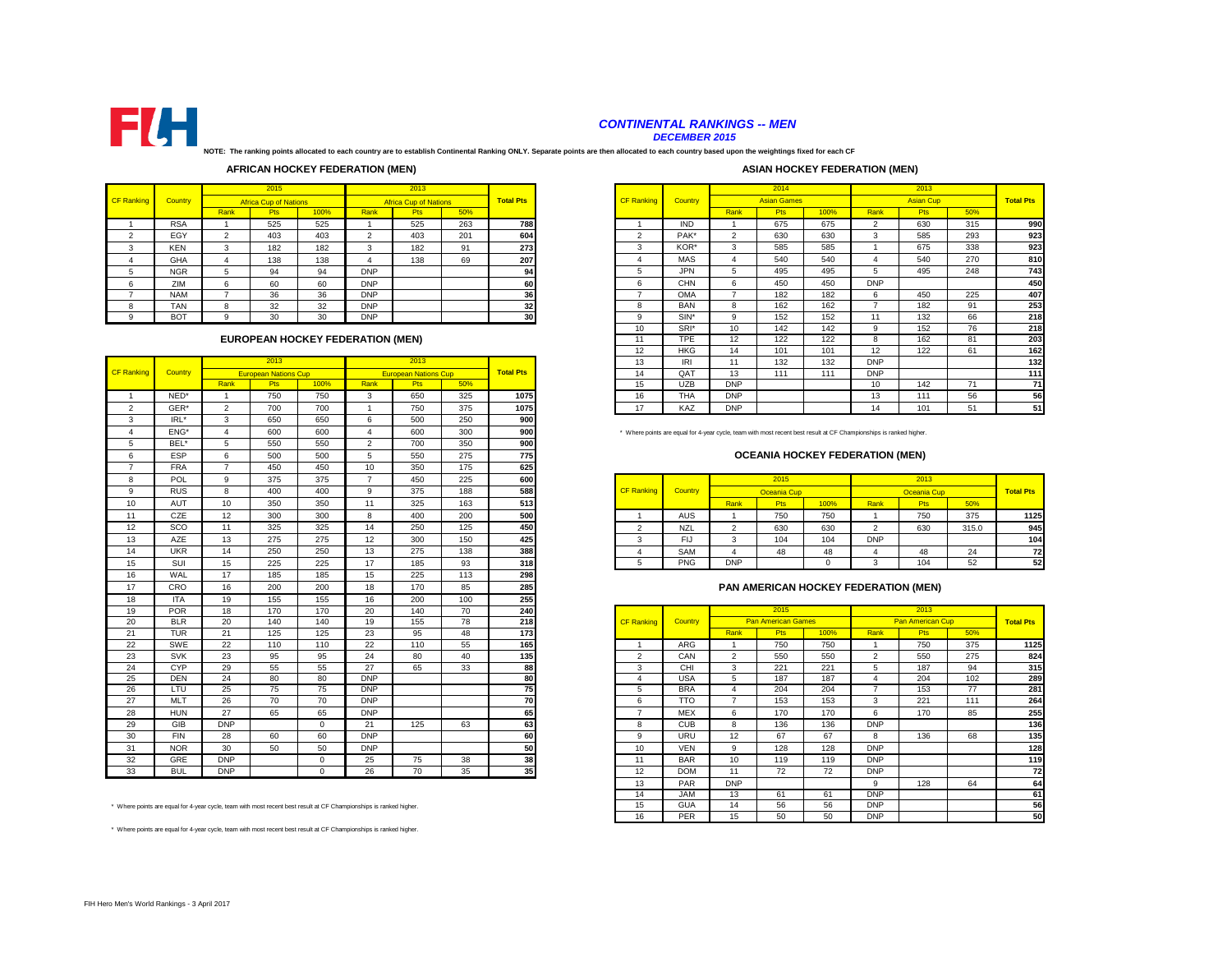

# *CONTINENTAL RANKINGS -- MEN*

*DECEMBER 2015*

**NOTE: The ranking points allocated to each country are to establish Continental Ranking ONLY. Separate points are then allocated to each country based upon the weightings fixed for each CF** 

# **AFRICAN HOCKEY FEDERATION (MEN)**

#### **ASIAN HOCKEY FEDERATION (MEN)**

|                   |            |      | 2015                         |      |            | 2013                         |     |                  |                   |            |               | 2014            |
|-------------------|------------|------|------------------------------|------|------------|------------------------------|-----|------------------|-------------------|------------|---------------|-----------------|
| <b>CF Ranking</b> | Country    |      | <b>Africa Cup of Nations</b> |      |            | <b>Africa Cup of Nations</b> |     | <b>Total Pts</b> | <b>CF Ranking</b> | Country    |               | <b>Asian Ga</b> |
|                   |            | Rank | <b>Pts</b>                   | 100% | Rank       | <b>Pts</b>                   | 50% |                  |                   |            | Rank          | <b>Pts</b>      |
|                   | <b>RSA</b> |      | 525                          | 525  |            | 525                          | 263 | 788              |                   | <b>IND</b> |               | 675             |
| ົ                 | EGY        | ◠    | 403                          | 403  | っ          | 403                          | 201 | 604              | $\sim$            | PAK*       | $\mathcal{L}$ | 630             |
| $\sim$<br>$\sim$  | <b>KEN</b> | 3    | 182                          | 182  | 3          | 182                          | 91  | 273              | 3                 | KOR*       | 3             | 585             |
| 4                 | <b>GHA</b> | 4    | 138                          | 138  | 4          | 138                          | 69  | 207              | 4                 | <b>MAS</b> | 4             | 540             |
| 5                 | <b>NGR</b> | 5    | 94                           | 94   | <b>DNP</b> |                              |     | 94               | 5                 | <b>JPN</b> | 5             | 495             |
| 6                 | ZIM        | 6    | 60                           | 60   | <b>DNP</b> |                              |     | 60               | 6                 | <b>CHN</b> | 6             | 450             |
|                   | <b>NAM</b> |      | 36                           | 36   | <b>DNP</b> |                              |     | 36               |                   | OMA        |               | 182             |
| 8                 | TAN        | 8    | 32                           | 32   | <b>DNP</b> |                              |     | 32               | 8                 | <b>BAN</b> | 8             | 162             |
| a                 | <b>BOT</b> | 9    | 30                           | 30   | <b>DNP</b> |                              |     | 30 <sup>1</sup>  | 9                 | SIN*       | 9             | 152             |

# **EUROPEAN HOCKEY FEDERATION (MEN)**

|                   |            |                | 2013                        |             |                        | 2013                        |     |                  |
|-------------------|------------|----------------|-----------------------------|-------------|------------------------|-----------------------------|-----|------------------|
| <b>CF Ranking</b> | Country    |                | <b>European Nations Cup</b> |             |                        | <b>European Nations Cup</b> |     | <b>Total Pts</b> |
|                   |            | Rank           | Pts                         | 100%        | Rank                   | <b>Pts</b>                  | 50% |                  |
| $\overline{1}$    | NED*       | $\overline{1}$ | 750                         | 750         | 3                      | 650                         | 325 | 1075             |
| $\overline{2}$    | GER*       | $\overline{2}$ | 700                         | 700         | $\overline{1}$         | 750                         | 375 | 1075             |
| 3                 | IRL*       | 3              | 650                         | 650         | 6                      | 500                         | 250 | 900              |
| $\overline{4}$    | ENG*       | $\overline{4}$ | 600                         | 600         | $\boldsymbol{\Lambda}$ | 600                         | 300 | 900              |
| 5                 | BEL*       | 5              | 550                         | 550         | $\overline{2}$         | 700                         | 350 | 900              |
| 6                 | ESP        | 6              | 500                         | 500         | 5                      | 550                         | 275 | 775              |
| $\overline{7}$    | <b>FRA</b> | $\overline{7}$ | 450                         | 450         | 10                     | 350                         | 175 | 625              |
| 8                 | POL        | 9              | 375                         | 375         | $\overline{7}$         | 450                         | 225 | 600              |
| 9                 | <b>RUS</b> | 8              | 400                         | 400         | 9                      | 375                         | 188 | 588              |
| 10                | <b>AUT</b> | 10             | 350                         | 350         | 11                     | 325                         | 163 | 513              |
| 11                | CZE        | 12             | 300                         | 300         | 8                      | 400                         | 200 | 500              |
| 12                | SCO        | 11             | 325                         | 325         | 14                     | 250                         | 125 | 450              |
| 13                | <b>AZE</b> | 13             | 275                         | 275         | 12                     | 300                         | 150 | 425              |
| 14                | <b>UKR</b> | 14             | 250                         | 250         | 13                     | 275                         | 138 | 388              |
| 15                | SUI        | 15             | 225                         | 225         | 17                     | 185                         | 93  | 318              |
| 16                | WAL        | 17             | 185                         | 185         | 15                     | 225                         | 113 | 298              |
| 17                | CRO        | 16             | 200                         | 200         | 18                     | 170                         | 85  | 285              |
| 18                | <b>ITA</b> | 19             | 155                         | 155         | 16                     | 200                         | 100 | 255              |
| 19                | <b>POR</b> | 18             | 170                         | 170         | 20                     | 140                         | 70  | 240              |
| 20                | <b>BLR</b> | 20             | 140                         | 140         | 19                     | 155                         | 78  | 218              |
| 21                | <b>TUR</b> | 21             | 125                         | 125         | 23                     | 95                          | 48  | 173              |
| 22                | SWE        | 22             | 110                         | 110         | 22                     | 110                         | 55  | 165              |
| 23                | <b>SVK</b> | 23             | 95                          | 95          | 24                     | 80                          | 40  | 135              |
| 24                | CYP        | 29             | 55                          | 55          | 27                     | 65                          | 33  | 88               |
| 25                | <b>DEN</b> | 24             | 80                          | 80          | <b>DNP</b>             |                             |     | 80               |
| 26                | LTU        | 25             | 75                          | 75          | <b>DNP</b>             |                             |     | 75               |
| 27                | <b>MLT</b> | 26             | 70                          | 70          | <b>DNP</b>             |                             |     | 70               |
| 28                | <b>HUN</b> | 27             | 65                          | 65          | <b>DNP</b>             |                             |     | 65               |
| 29                | GIB        | <b>DNP</b>     |                             | $\mathbf 0$ | 21                     | 125                         | 63  | 63               |
| 30                | <b>FIN</b> | 28             | 60                          | 60          | <b>DNP</b>             |                             |     | 60               |
| 31                | <b>NOR</b> | 30             | 50                          | 50          | <b>DNP</b>             |                             |     | 50               |
| 32                | GRE        | <b>DNP</b>     |                             | $\Omega$    | 25                     | 75                          | 38  | 38               |
| 33                | <b>BUL</b> | <b>DNP</b>     |                             | $\Omega$    | 26                     | 70                          | 35  | 35               |

\* Where points are equal for 4-year cycle, team with most recent best result at CF Championships is ranked higher.

\* Where points are equal for 4-year cycle, team with most recent best result at CF Championships is ranked higher.

|        |            |        | 2015                                                       |      |            | 2013                         |     |                  |                   |            |            | 2014               |      |                          | 2013             |     |                  |
|--------|------------|--------|------------------------------------------------------------|------|------------|------------------------------|-----|------------------|-------------------|------------|------------|--------------------|------|--------------------------|------------------|-----|------------------|
| ankinc | Country    |        | <b>Africa Cup of Nations</b>                               |      |            | <b>Africa Cup of Nations</b> |     | <b>Total Pts</b> | <b>CF Ranking</b> | Country    |            | <b>Asian Games</b> |      |                          | <b>Asian Cup</b> |     | <b>Total Pts</b> |
|        |            | Rank   | <b>Pts</b>                                                 | 100% | Rank       | <b>Pts</b>                   | 50% |                  |                   |            | Rank       | <b>Pts</b>         | 100% | Rank                     | Pts              | 50% |                  |
|        | <b>RSA</b> |        | 525                                                        | 525  |            | 525                          | 263 | 788              |                   | <b>IND</b> |            | 675                | 675  | $\overline{\phantom{0}}$ | 630              | 315 | 990              |
|        | EGY        | $\sim$ | 403                                                        | 403  | $\Omega$   | 403                          | 201 | 604              | $\sim$            | PAK*       |            | 630                | 630  | 3                        | 585              | 293 | 923              |
|        | <b>KEN</b> | 3      | 182                                                        | 182  | 3          | 182                          | 91  | 273              | 3                 | KOR*       |            | 585                | 585  |                          | 675              | 338 | 923              |
|        | GHA        |        | 138                                                        | 138  |            | 138                          | 69  | 207              |                   | <b>MAS</b> |            | 540                | 540  |                          | 540              | 270 | 810              |
|        | <b>NGR</b> | 5      | 94                                                         | 94   | <b>DNP</b> |                              |     | 94               | h                 | <b>JPN</b> |            | 495                | 495  |                          | 495              | 248 | 743              |
| $\sim$ | ZIM        | ĥ      | 60                                                         | 60   | <b>DNP</b> |                              |     | 60               | ĥ                 | CHN        | ĥ          | 450                | 450  | <b>DNP</b>               |                  |     | 450              |
|        | <b>NAM</b> |        | 36                                                         | 36   | <b>DNP</b> |                              |     | 36               |                   | <b>OMA</b> |            | 182                | 182  |                          | 450              | 225 | 407              |
|        | <b>TAN</b> | R      | 32                                                         | 32   | <b>DNP</b> |                              |     | 32               | 8                 | <b>BAN</b> |            | 162                | 162  |                          | 182              | 91  | 253              |
|        | <b>BOT</b> | q      | 30                                                         | 30   | <b>DNP</b> |                              |     | 30               | a                 | SIN*       | $\Omega$   | 152                | 152  | 11                       | 132              | 66  | 218              |
|        |            |        |                                                            |      |            |                              |     |                  | 10                | SRI*       | 10         | 142                | 142  |                          | 152              | 76  | 218              |
|        |            |        | EUROPEAN HOCKEY FEDERATION (MEN)                           |      |            |                              |     |                  | 11                | TPE        | 12         | 122                | 122  |                          | 162              | 81  | 203              |
|        |            |        |                                                            |      |            |                              |     |                  | 12                | <b>HKG</b> | 14         | 101                | 101  | 12                       | 122              | 61  | 162              |
|        |            |        | 2013                                                       |      |            | 2013                         |     |                  | 13                | <b>IRI</b> | 11         | 132                | 132  | <b>DNP</b>               |                  |     | 132              |
| anking | Country    |        | <b>European Nations Cup</b><br><b>European Nations Cup</b> |      |            |                              |     | <b>Total Pts</b> | 14                | QAT        | 13         | 111                | 111  | <b>DNP</b>               |                  |     | 111              |
|        |            | Rank   | <b>Pts</b>                                                 | 100% | Rank       | <b>Pts</b>                   | 50% |                  | 15                | <b>UZB</b> | <b>DNP</b> |                    |      | 10                       | 142              | 71  | 71               |
|        | NED*       |        | 750                                                        | 750  | 3          | 325<br>650                   |     |                  | 16                | <b>THA</b> | <b>DNP</b> |                    |      | 13                       | 111              | 56  | 56               |
|        | GER*       | $\sim$ | 700<br>700<br>750                                          |      |            |                              |     | 1075             | 17                | KAZ        | <b>DNP</b> |                    |      | 14                       | 101              | 51  | 51               |

# **OCEANIA HOCKEY FEDERATION (MEN)**

| <b>POL</b> |    | 375 | 375 |          | 45 <sub>C</sub> | 225      | 600 |                   |            |            | 2015             |      |            | 2013        |       |                  |
|------------|----|-----|-----|----------|-----------------|----------|-----|-------------------|------------|------------|------------------|------|------------|-------------|-------|------------------|
| <b>RUS</b> |    | 400 | 400 |          | 375             | 188      | 588 | <b>CF Ranking</b> | Country    |            | Oceania Cup      |      |            | Oceania Cup |       | <b>Total Pts</b> |
| AUT        | 10 | 350 | 350 |          | 325             | 163      | 513 |                   |            | Rank       | Pts <sup>1</sup> | 100% | Rank       | <b>Pts</b>  | 50%   |                  |
| CZE        | 12 | 300 | 300 |          | 400             | 200      | 500 |                   | <b>AUS</b> |            | 750              | 750  |            | 750<br>ات ا | 375   | 1125             |
| SCO        |    | 325 | 325 |          | 250             | 125      | 450 |                   | <b>NZL</b> |            | 630              | 630  |            | 630         | 315.0 | 945              |
| AZE        | 13 | 275 | 275 | $\Delta$ | 300             | 150      | 425 |                   | دا⊃        |            | 104              | 104  | <b>DNP</b> |             |       | 104              |
| <b>UKR</b> | 14 | 250 | 250 | $\sim$   | 275             | 138      | 388 |                   | SAM        |            | 48               | AC   |            | 45          | 24    | 72               |
| SUI        | 15 | 225 | 225 |          | 185             | റാ<br>ະວ | 318 |                   | <b>PNG</b> | <b>DNP</b> |                  |      |            | 104         | 52    | 52               |

# **PAN AMERICAN HOCKEY FEDERATION (MEN)**

| $\cdot$ | .          | $\cdot$                                                                                                        | $\sim$ | $\sim$   | $\cdot$ $\sim$ | --- | $\cdot$ | $-0o$ |                   |            |            |                           |      |                |                  |     |                  |
|---------|------------|----------------------------------------------------------------------------------------------------------------|--------|----------|----------------|-----|---------|-------|-------------------|------------|------------|---------------------------|------|----------------|------------------|-----|------------------|
| 19      | <b>POR</b> | 18                                                                                                             | 170    | 170      | 20             | 140 | 70      | 240   |                   |            |            | 2015                      |      |                | 2013             |     |                  |
| 20      | <b>BLR</b> | 20                                                                                                             | 140    | 140      | 19             | 155 | 78      | 218   | <b>CF Ranking</b> | Country    |            | <b>Pan American Games</b> |      |                | Pan American Cup |     | <b>Total Pts</b> |
| 21      | <b>TUR</b> | 21                                                                                                             | 125    | 125      | 23             | 95  | 48      | 173   |                   |            | Rank       | <b>Pts</b>                | 100% | Rank           | <b>Pts</b>       | 50% |                  |
| 22      | SWE        | 22                                                                                                             | 110    | 110      | 22             | 110 | 55      | 165   |                   | ARG        |            | 750                       | 750  |                | 750              | 375 | 1125             |
| 23      | <b>SVK</b> | 23                                                                                                             | 95     | 95       | 24             | 80  | 40      | 135   | 2                 | CAN        | 2          | 550                       | 550  | $\overline{2}$ | 550              | 275 | 824              |
| 24      | <b>CYP</b> | 29                                                                                                             | 55     | 55       | 27             | 65  | 33      | 88    | 3                 | CHI        | 3          | 221                       | 221  |                | 187              | 94  | 315              |
| 25      | <b>DEN</b> | 24                                                                                                             | 80     | 80       | <b>DNP</b>     |     |         | 80    |                   | <b>USA</b> | 5          | 187                       | 187  |                | 204              | 102 | 289              |
| 26      | LTU        | 25                                                                                                             | 75     | 75       | <b>DNP</b>     |     |         | 75    | $\mathbf{b}$      | <b>BRA</b> |            | 204                       | 204  |                | 153              | 77  | 281              |
| 27      | <b>MLT</b> | 26                                                                                                             | 70     | 70       | <b>DNP</b>     |     |         | 70    | 6                 | <b>TTO</b> |            | 153                       | 153  | 3              | 221              | 111 | 264              |
| 28      | <b>HUN</b> | 27                                                                                                             | 65     | 65       | <b>DNP</b>     |     |         | 65    |                   | <b>MEX</b> | 6          | 170                       | 170  | 6              | 170              | 85  | 255              |
| 29      | GIB        | <b>DNP</b>                                                                                                     |        | $\Omega$ | 21             | 125 | 63      | 63    | 8                 | <b>CUB</b> | 8          | 136                       | 136  | <b>DNP</b>     |                  |     | 136              |
| 30      | <b>FIN</b> | 28                                                                                                             | 60     | 60       | <b>DNP</b>     |     |         | 60    | 9                 | URU        | 12         | 67                        | 67   | $\mathbf{R}$   | 136              | 68  | 135              |
| 31      | <b>NOR</b> | 30                                                                                                             | 50     | 50       | <b>DNP</b>     |     |         | 50    | 10                | <b>VEN</b> | 9          | 128                       | 128  | <b>DNP</b>     |                  |     | 128              |
| 32      | GRE        | <b>DNP</b>                                                                                                     |        | $\Omega$ | 25             | 75  | 38      | 38    | 11                | <b>BAR</b> | 10         | 119                       | 119  | <b>DNP</b>     |                  |     | 119              |
| 33      | <b>BUL</b> | <b>DNP</b>                                                                                                     |        | $\Omega$ | 26             | 70  | 35      | 35    | 12                | <b>DOM</b> | 11         | 72                        | 72   | <b>DNP</b>     |                  |     | 72               |
|         |            |                                                                                                                |        |          |                |     |         |       | 13                | PAR        | <b>DNP</b> |                           |      | q              | 128              | 64  | 64               |
|         |            |                                                                                                                |        |          |                |     |         |       | 14                | <b>JAM</b> | 13         | 61                        | 61   | <b>DNP</b>     |                  |     | 61               |
|         |            | ere points are equal for 4-year cycle, team with most recent best result at CF Championships is ranked higher. |        |          |                |     |         |       | 15                | <b>GUA</b> | 14         | 56                        | 56   | <b>DNP</b>     |                  |     | 56               |
|         |            |                                                                                                                |        |          |                |     |         |       | 16                | PER        | 15         | 50                        | 50   | <b>DNP</b>     |                  |     | 50               |